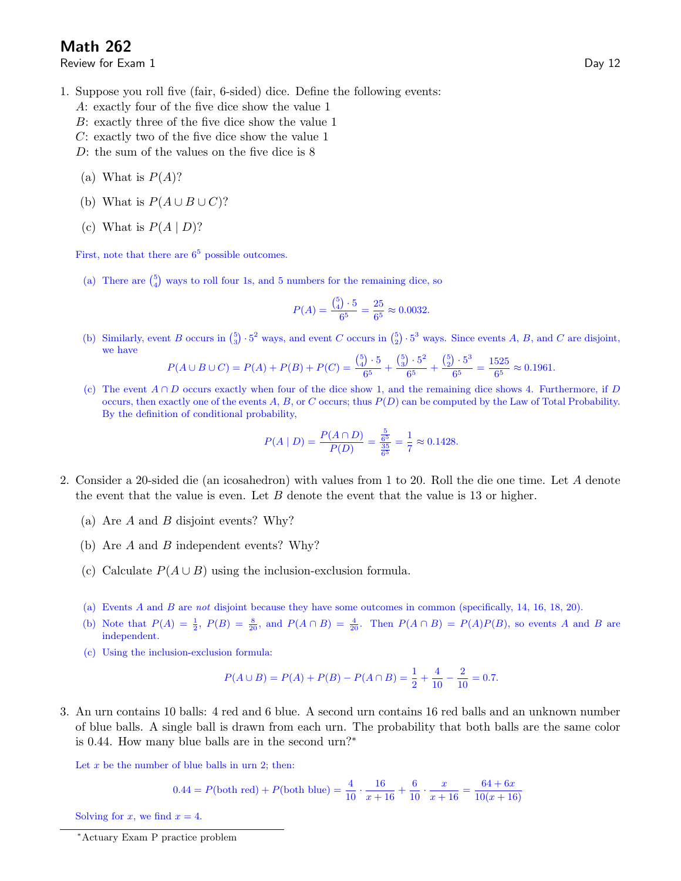## Math 262

Review for Exam 1 Day 12

- 1. Suppose you roll five (fair, 6-sided) dice. Define the following events:
	- A: exactly four of the five dice show the value 1
	- B: exactly three of the five dice show the value 1
	- C: exactly two of the five dice show the value 1
	- D: the sum of the values on the five dice is 8
	- (a) What is  $P(A)$ ?
	- (b) What is  $P(A \cup B \cup C)$ ?
	- (c) What is  $P(A | D)$ ?

First, note that there are  $6<sup>5</sup>$  possible outcomes.

(a) There are  $\binom{5}{4}$  ways to roll four 1s, and 5 numbers for the remaining dice, so

$$
P(A) = \frac{\binom{5}{4} \cdot 5}{6^5} = \frac{25}{6^5} \approx 0.0032.
$$

(b) Similarly, event B occurs in  $\binom{5}{3} \cdot 5^2$  ways, and event C occurs in  $\binom{5}{2} \cdot 5^3$  ways. Since events A, B, and C are disjoint, we have

$$
P(A \cup B \cup C) = P(A) + P(B) + P(C) = \frac{\binom{5}{4} \cdot 5}{6^5} + \frac{\binom{5}{3} \cdot 5^2}{6^5} + \frac{\binom{5}{2} \cdot 5^3}{6^5} = \frac{1525}{6^5} \approx 0.1961.
$$

(c) The event  $A \cap D$  occurs exactly when four of the dice show 1, and the remaining dice shows 4. Furthermore, if D occurs, then exactly one of the events  $A, B$ , or C occurs; thus  $P(D)$  can be computed by the Law of Total Probability. By the definition of conditional probability,

$$
P(A | D) = \frac{P(A \cap D)}{P(D)} = \frac{\frac{5}{6^5}}{\frac{35}{6^5}} = \frac{1}{7} \approx 0.1428.
$$

- 2. Consider a 20-sided die (an icosahedron) with values from 1 to 20. Roll the die one time. Let A denote the event that the value is even. Let  $B$  denote the event that the value is 13 or higher.
	- (a) Are A and B disjoint events? Why?
	- (b) Are A and B independent events? Why?
	- (c) Calculate  $P(A \cup B)$  using the inclusion-exclusion formula.
	- (a) Events A and B are not disjoint because they have some outcomes in common (specifically, 14, 16, 18, 20).
	- (b) Note that  $P(A) = \frac{1}{2}$ ,  $P(B) = \frac{8}{20}$ , and  $P(A \cap B) = \frac{4}{20}$ . Then  $P(A \cap B) = P(A)P(B)$ , so events A and B are independent.
	- (c) Using the inclusion-exclusion formula:

$$
P(A \cup B) = P(A) + P(B) - P(A \cap B) = \frac{1}{2} + \frac{4}{10} - \frac{2}{10} = 0.7.
$$

3. An urn contains 10 balls: 4 red and 6 blue. A second urn contains 16 red balls and an unknown number of blue balls. A single ball is drawn from each urn. The probability that both balls are the same color is 0.44. How many blue balls are in the second urn?∗

Let  $x$  be the number of blue balls in urn 2; then:

$$
0.44 = P(\text{both red}) + P(\text{both blue}) = \frac{4}{10} \cdot \frac{16}{x+16} + \frac{6}{10} \cdot \frac{x}{x+16} = \frac{64+6x}{10(x+16)}
$$

Solving for x, we find  $x = 4$ .

<sup>∗</sup>Actuary Exam P practice problem